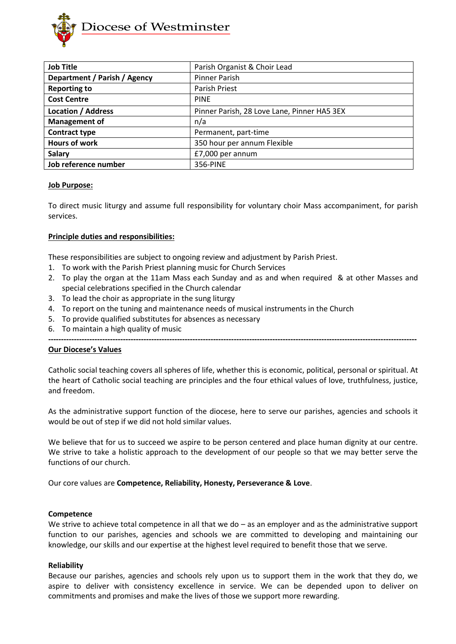

| <b>Job Title</b>             | Parish Organist & Choir Lead                |
|------------------------------|---------------------------------------------|
| Department / Parish / Agency | <b>Pinner Parish</b>                        |
| <b>Reporting to</b>          | <b>Parish Priest</b>                        |
| <b>Cost Centre</b>           | <b>PINE</b>                                 |
| <b>Location / Address</b>    | Pinner Parish, 28 Love Lane, Pinner HA5 3EX |
| <b>Management of</b>         | n/a                                         |
| <b>Contract type</b>         | Permanent, part-time                        |
| <b>Hours of work</b>         | 350 hour per annum Flexible                 |
| <b>Salary</b>                | £7,000 per annum                            |
| Job reference number         | 356-PINE                                    |

#### **Job Purpose:**

To direct music liturgy and assume full responsibility for voluntary choir Mass accompaniment, for parish services.

### **Principle duties and responsibilities:**

These responsibilities are subject to ongoing review and adjustment by Parish Priest.

- 1. To work with the Parish Priest planning music for Church Services
- 2. To play the organ at the 11am Mass each Sunday and as and when required & at other Masses and special celebrations specified in the Church calendar
- 3. To lead the choir as appropriate in the sung liturgy
- 4. To report on the tuning and maintenance needs of musical instruments in the Church
- 5. To provide qualified substitutes for absences as necessary
- 6. To maintain a high quality of music

**-----------------------------------------------------------------------------------------------------------------------------------------------**

#### **Our Diocese's Values**

Catholic social teaching covers all spheres of life, whether this is economic, political, personal or spiritual. At the heart of Catholic social teaching are principles and the four ethical values of love, truthfulness, justice, and freedom.

As the administrative support function of the diocese, here to serve our parishes, agencies and schools it would be out of step if we did not hold similar values.

We believe that for us to succeed we aspire to be person centered and place human dignity at our centre. We strive to take a holistic approach to the development of our people so that we may better serve the functions of our church.

Our core values are **Competence, Reliability, Honesty, Perseverance & Love**.

#### **Competence**

We strive to achieve total competence in all that we do – as an employer and as the administrative support function to our parishes, agencies and schools we are committed to developing and maintaining our knowledge, our skills and our expertise at the highest level required to benefit those that we serve.

#### **Reliability**

Because our parishes, agencies and schools rely upon us to support them in the work that they do, we aspire to deliver with consistency excellence in service. We can be depended upon to deliver on commitments and promises and make the lives of those we support more rewarding.